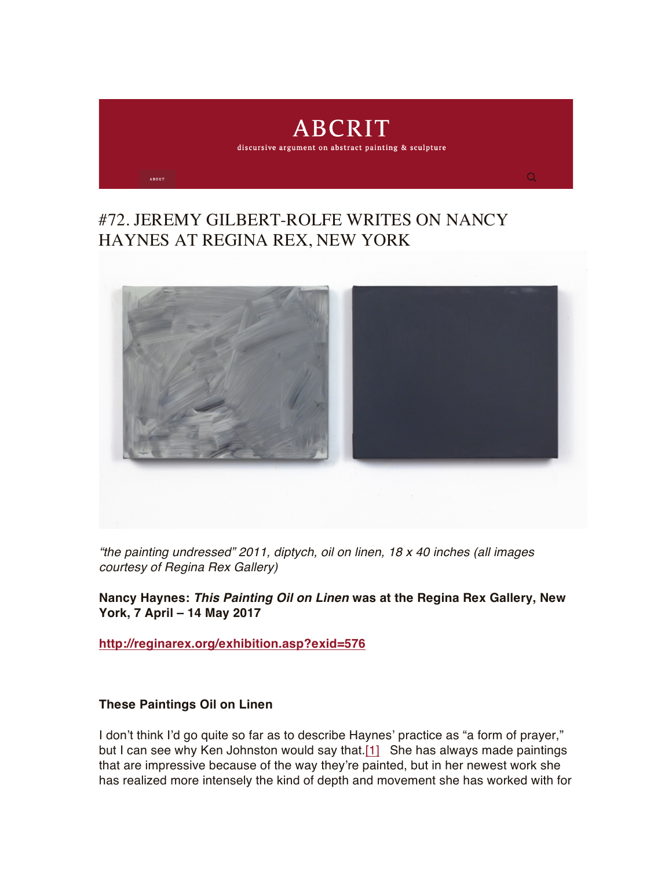

## #72. JEREMY GILBERT-ROLFE WRITES ON NANCY HAYNES AT REGINA REX, NEW YORK



*"the painting undressed" 2011, diptych, oil on linen, 18 x 40 inches (all images courtesy of Regina Rex Gallery)*

**Nancy Haynes:** *This Painting Oil on Linen* **was at the Regina Rex Gallery, New York, 7 April – 14 May 2017**

**<http://reginarex.org/exhibition.asp?exid=576>**

## **These Paintings Oil on Linen**

I don't think I'd go quite so far as to describe Haynes' practice as "a form of prayer," but I can see why Ken Johnston would say that.[\[1\]](https://abcrit.org/2017/07/06/72-jeremy-gilbert-rolfe-writes-on-nancy-haynes-at-regina-rex-new-york/#_ftn1) She has always made paintings that are impressive because of the way they're painted, but in her newest work she has realized more intensely the kind of depth and movement she has worked with for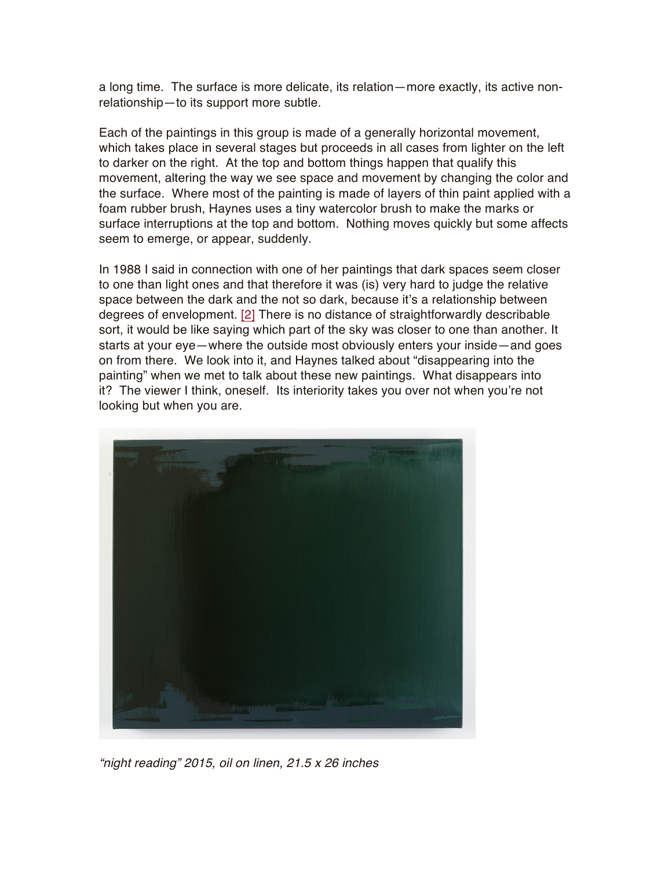a long time. The surface is more delicate, its relation—more exactly, its active nonrelationship—to its support more subtle.

Each of the paintings in this group is made of a generally horizontal movement, which takes place in several stages but proceeds in all cases from lighter on the left to darker on the right. At the top and bottom things happen that qualify this movement, altering the way we see space and movement by changing the color and the surface. Where most of the painting is made of layers of thin paint applied with a foam rubber brush, Haynes uses a tiny watercolor brush to make the marks or surface interruptions at the top and bottom. Nothing moves quickly but some affects seem to emerge, or appear, suddenly.

In 1988 I said in connection with one of her paintings that dark spaces seem closer to one than light ones and that therefore it was (is) very hard to judge the relative space between the dark and the not so dark, because it's a relationship between degrees of envelopment. [\[2\]](https://abcrit.org/2017/07/06/72-jeremy-gilbert-rolfe-writes-on-nancy-haynes-at-regina-rex-new-york/#_ftn2) There is no distance of straightforwardly describable sort, it would be like saying which part of the sky was closer to one than another. It starts at your eye—where the outside most obviously enters your inside—and goes on from there. We look into it, and Haynes talked about "disappearing into the painting" when we met to talk about these new paintings. What disappears into it? The viewer I think, oneself. Its interiority takes you over not when you're not looking but when you are.



*"night reading" 2015, oil on linen, 21.5 x 26 inches*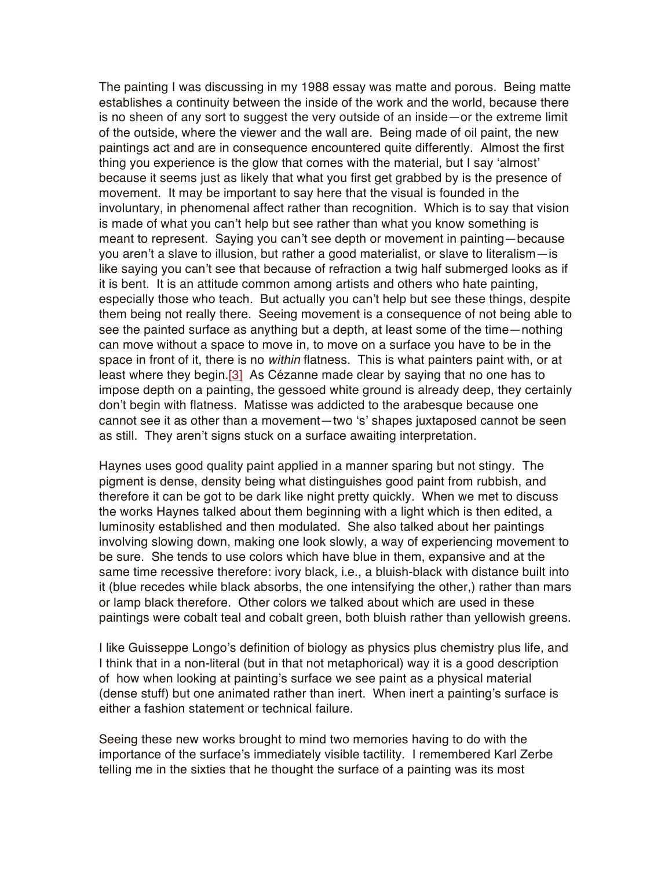The painting I was discussing in my 1988 essay was matte and porous. Being matte establishes a continuity between the inside of the work and the world, because there is no sheen of any sort to suggest the very outside of an inside—or the extreme limit of the outside, where the viewer and the wall are. Being made of oil paint, the new paintings act and are in consequence encountered quite differently. Almost the first thing you experience is the glow that comes with the material, but I say 'almost' because it seems just as likely that what you first get grabbed by is the presence of movement. It may be important to say here that the visual is founded in the involuntary, in phenomenal affect rather than recognition. Which is to say that vision is made of what you can't help but see rather than what you know something is meant to represent. Saying you can't see depth or movement in painting—because you aren't a slave to illusion, but rather a good materialist, or slave to literalism—is like saying you can't see that because of refraction a twig half submerged looks as if it is bent. It is an attitude common among artists and others who hate painting, especially those who teach. But actually you can't help but see these things, despite them being not really there. Seeing movement is a consequence of not being able to see the painted surface as anything but a depth, at least some of the time—nothing can move without a space to move in, to move on a surface you have to be in the space in front of it, there is no *within* flatness. This is what painters paint with, or at least where they begin[.\[3\]](https://abcrit.org/2017/07/06/72-jeremy-gilbert-rolfe-writes-on-nancy-haynes-at-regina-rex-new-york/#_ftn3) As Cézanne made clear by saying that no one has to impose depth on a painting, the gessoed white ground is already deep, they certainly don't begin with flatness. Matisse was addicted to the arabesque because one cannot see it as other than a movement—two 's' shapes juxtaposed cannot be seen as still. They aren't signs stuck on a surface awaiting interpretation.

Haynes uses good quality paint applied in a manner sparing but not stingy. The pigment is dense, density being what distinguishes good paint from rubbish, and therefore it can be got to be dark like night pretty quickly. When we met to discuss the works Haynes talked about them beginning with a light which is then edited, a luminosity established and then modulated. She also talked about her paintings involving slowing down, making one look slowly, a way of experiencing movement to be sure. She tends to use colors which have blue in them, expansive and at the same time recessive therefore: ivory black, i.e., a bluish-black with distance built into it (blue recedes while black absorbs, the one intensifying the other,) rather than mars or lamp black therefore. Other colors we talked about which are used in these paintings were cobalt teal and cobalt green, both bluish rather than yellowish greens.

I like Guisseppe Longo's definition of biology as physics plus chemistry plus life, and I think that in a non-literal (but in that not metaphorical) way it is a good description of how when looking at painting's surface we see paint as a physical material (dense stuff) but one animated rather than inert. When inert a painting's surface is either a fashion statement or technical failure.

Seeing these new works brought to mind two memories having to do with the importance of the surface's immediately visible tactility. I remembered Karl Zerbe telling me in the sixties that he thought the surface of a painting was its most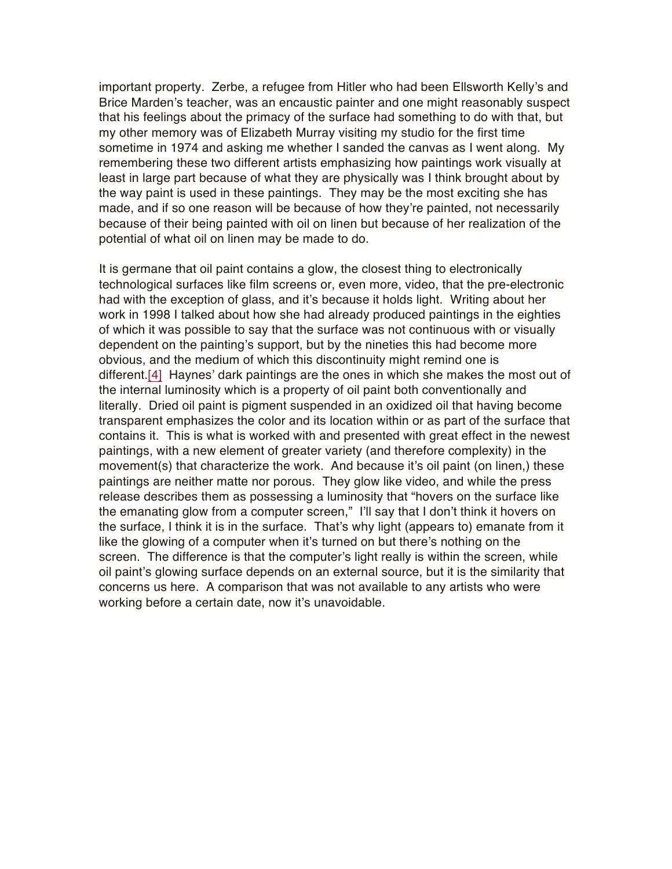important property. Zerbe, a refugee from Hitler who had been Ellsworth Kelly's and Brice Marden's teacher, was an encaustic painter and one might reasonably suspect that his feelings about the primacy of the surface had something to do with that, but my other memory was of Elizabeth Murray visiting my studio for the first time sometime in 1974 and asking me whether I sanded the canvas as I went along. My remembering these two different artists emphasizing how paintings work visually at least in large part because of what they are physically was I think brought about by the way paint is used in these paintings. They may be the most exciting she has made, and if so one reason will be because of how they're painted, not necessarily because of their being painted with oil on linen but because of her realization of the potential of what oil on linen may be made to do.

It is germane that oil paint contains a glow, the closest thing to electronically technological surfaces like film screens or, even more, video, that the pre-electronic had with the exception of glass, and it's because it holds light. Writing about her work in 1998 I talked about how she had already produced paintings in the eighties of which it was possible to say that the surface was not continuous with or visually dependent on the painting's support, but by the nineties this had become more obvious, and the medium of which this discontinuity might remind one is different.[\[4\]](https://abcrit.org/2017/07/06/72-jeremy-gilbert-rolfe-writes-on-nancy-haynes-at-regina-rex-new-york/#_ftn4) Haynes' dark paintings are the ones in which she makes the most out of the internal luminosity which is a property of oil paint both conventionally and literally. Dried oil paint is pigment suspended in an oxidized oil that having become transparent emphasizes the color and its location within or as part of the surface that contains it. This is what is worked with and presented with great effect in the newest paintings, with a new element of greater variety (and therefore complexity) in the movement(s) that characterize the work. And because it's oil paint (on linen,) these paintings are neither matte nor porous. They glow like video, and while the press release describes them as possessing a luminosity that "hovers on the surface like the emanating glow from a computer screen," I'll say that I don't think it hovers on the surface, I think it is in the surface. That's why light (appears to) emanate from it like the glowing of a computer when it's turned on but there's nothing on the screen. The difference is that the computer's light really is within the screen, while oil paint's glowing surface depends on an external source, but it is the similarity that concerns us here. A comparison that was not available to any artists who were working before a certain date, now it's unavoidable.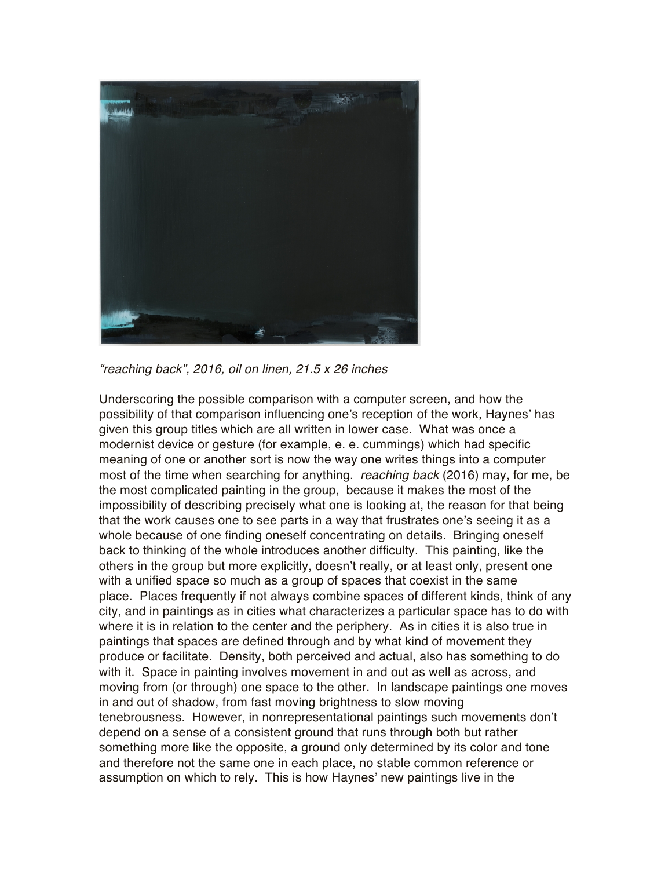

*"reaching back", 2016, oil on linen, 21.5 x 26 inches*

Underscoring the possible comparison with a computer screen, and how the possibility of that comparison influencing one's reception of the work, Haynes' has given this group titles which are all written in lower case. What was once a modernist device or gesture (for example, e. e. cummings) which had specific meaning of one or another sort is now the way one writes things into a computer most of the time when searching for anything. *reaching back* (2016) may, for me, be the most complicated painting in the group, because it makes the most of the impossibility of describing precisely what one is looking at, the reason for that being that the work causes one to see parts in a way that frustrates one's seeing it as a whole because of one finding oneself concentrating on details. Bringing oneself back to thinking of the whole introduces another difficulty. This painting, like the others in the group but more explicitly, doesn't really, or at least only, present one with a unified space so much as a group of spaces that coexist in the same place. Places frequently if not always combine spaces of different kinds, think of any city, and in paintings as in cities what characterizes a particular space has to do with where it is in relation to the center and the periphery. As in cities it is also true in paintings that spaces are defined through and by what kind of movement they produce or facilitate. Density, both perceived and actual, also has something to do with it. Space in painting involves movement in and out as well as across, and moving from (or through) one space to the other. In landscape paintings one moves in and out of shadow, from fast moving brightness to slow moving tenebrousness. However, in nonrepresentational paintings such movements don't depend on a sense of a consistent ground that runs through both but rather something more like the opposite, a ground only determined by its color and tone and therefore not the same one in each place, no stable common reference or assumption on which to rely. This is how Haynes' new paintings live in the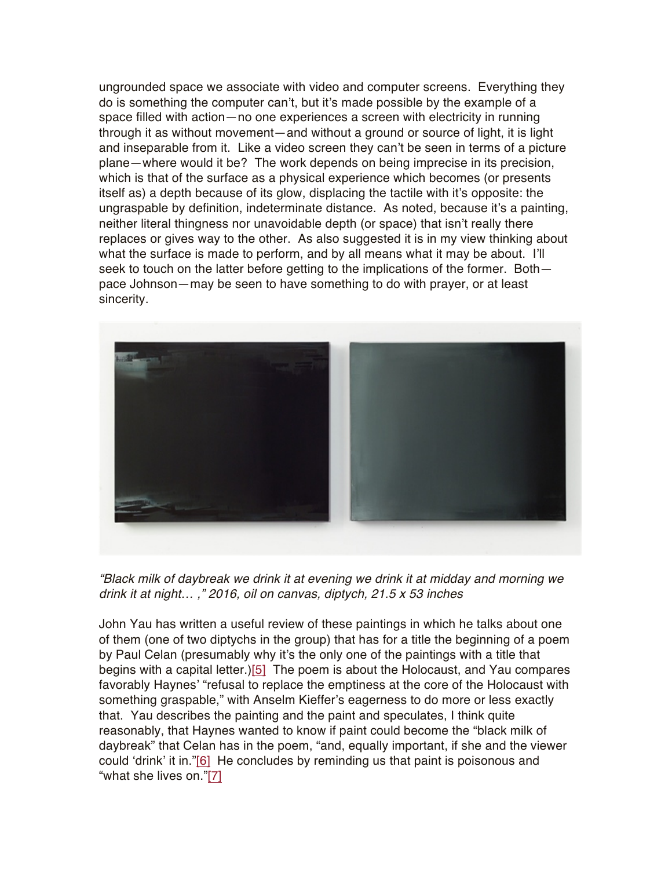ungrounded space we associate with video and computer screens. Everything they do is something the computer can't, but it's made possible by the example of a space filled with action—no one experiences a screen with electricity in running through it as without movement—and without a ground or source of light, it is light and inseparable from it. Like a video screen they can't be seen in terms of a picture plane—where would it be? The work depends on being imprecise in its precision, which is that of the surface as a physical experience which becomes (or presents itself as) a depth because of its glow, displacing the tactile with it's opposite: the ungraspable by definition, indeterminate distance. As noted, because it's a painting, neither literal thingness nor unavoidable depth (or space) that isn't really there replaces or gives way to the other. As also suggested it is in my view thinking about what the surface is made to perform, and by all means what it may be about. I'll seek to touch on the latter before getting to the implications of the former. Bothpace Johnson—may be seen to have something to do with prayer, or at least sincerity.



*"Black milk of daybreak we drink it at evening we drink it at midday and morning we drink it at night… ," 2016, oil on canvas, diptych, 21.5 x 53 inches*

John Yau has written a useful review of these paintings in which he talks about one of them (one of two diptychs in the group) that has for a title the beginning of a poem by Paul Celan (presumably why it's the only one of the paintings with a title that begins with a capital letter.[\)\[5\]](https://abcrit.org/2017/07/06/72-jeremy-gilbert-rolfe-writes-on-nancy-haynes-at-regina-rex-new-york/#_ftn5) The poem is about the Holocaust, and Yau compares favorably Haynes' "refusal to replace the emptiness at the core of the Holocaust with something graspable," with Anselm Kieffer's eagerness to do more or less exactly that. Yau describes the painting and the paint and speculates, I think quite reasonably, that Haynes wanted to know if paint could become the "black milk of daybreak" that Celan has in the poem, "and, equally important, if she and the viewer could 'drink' it in."[\[6\]](https://abcrit.org/2017/07/06/72-jeremy-gilbert-rolfe-writes-on-nancy-haynes-at-regina-rex-new-york/#_ftn6) He concludes by reminding us that paint is poisonous and "what she lives on.["\[7\]](https://abcrit.org/2017/07/06/72-jeremy-gilbert-rolfe-writes-on-nancy-haynes-at-regina-rex-new-york/#_ftn7)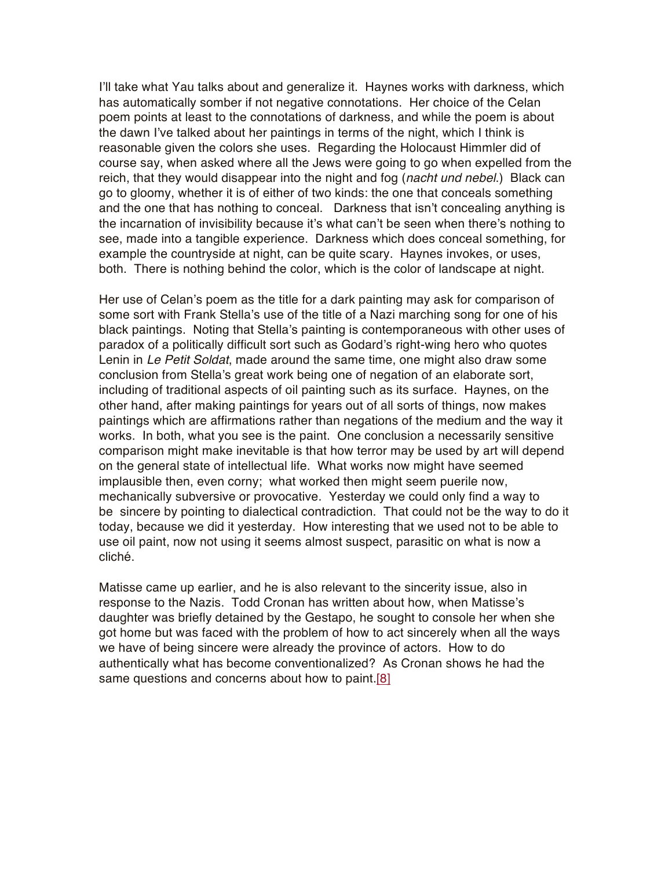I'll take what Yau talks about and generalize it. Haynes works with darkness, which has automatically somber if not negative connotations. Her choice of the Celan poem points at least to the connotations of darkness, and while the poem is about the dawn I've talked about her paintings in terms of the night, which I think is reasonable given the colors she uses. Regarding the Holocaust Himmler did of course say, when asked where all the Jews were going to go when expelled from the reich, that they would disappear into the night and fog (*nacht und nebel*.) Black can go to gloomy, whether it is of either of two kinds: the one that conceals something and the one that has nothing to conceal. Darkness that isn't concealing anything is the incarnation of invisibility because it's what can't be seen when there's nothing to see, made into a tangible experience. Darkness which does conceal something, for example the countryside at night, can be quite scary. Haynes invokes, or uses, both. There is nothing behind the color, which is the color of landscape at night.

Her use of Celan's poem as the title for a dark painting may ask for comparison of some sort with Frank Stella's use of the title of a Nazi marching song for one of his black paintings. Noting that Stella's painting is contemporaneous with other uses of paradox of a politically difficult sort such as Godard's right-wing hero who quotes Lenin in *Le Petit Soldat*, made around the same time, one might also draw some conclusion from Stella's great work being one of negation of an elaborate sort, including of traditional aspects of oil painting such as its surface. Haynes, on the other hand, after making paintings for years out of all sorts of things, now makes paintings which are affirmations rather than negations of the medium and the way it works. In both, what you see is the paint. One conclusion a necessarily sensitive comparison might make inevitable is that how terror may be used by art will depend on the general state of intellectual life. What works now might have seemed implausible then, even corny; what worked then might seem puerile now, mechanically subversive or provocative. Yesterday we could only find a way to be sincere by pointing to dialectical contradiction. That could not be the way to do it today, because we did it yesterday. How interesting that we used not to be able to use oil paint, now not using it seems almost suspect, parasitic on what is now a cliché.

Matisse came up earlier, and he is also relevant to the sincerity issue, also in response to the Nazis. Todd Cronan has written about how, when Matisse's daughter was briefly detained by the Gestapo, he sought to console her when she got home but was faced with the problem of how to act sincerely when all the ways we have of being sincere were already the province of actors. How to do authentically what has become conventionalized? As Cronan shows he had the same questions and concerns about how to paint[.\[8\]](https://abcrit.org/2017/07/06/72-jeremy-gilbert-rolfe-writes-on-nancy-haynes-at-regina-rex-new-york/#_ftn8)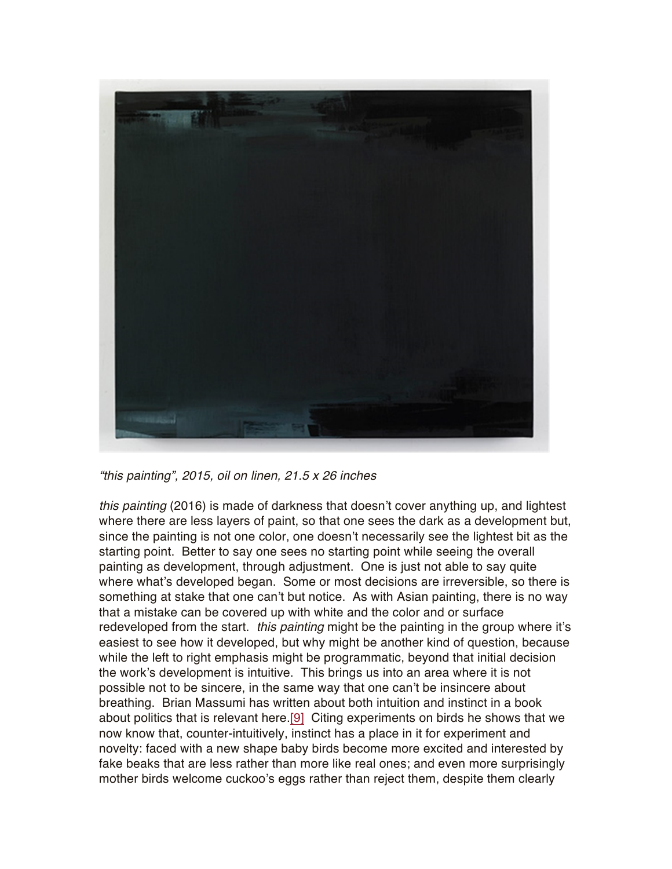

*"this painting", 2015, oil on linen, 21.5 x 26 inches*

*this painting* (2016) is made of darkness that doesn't cover anything up, and lightest where there are less layers of paint, so that one sees the dark as a development but, since the painting is not one color, one doesn't necessarily see the lightest bit as the starting point. Better to say one sees no starting point while seeing the overall painting as development, through adjustment. One is just not able to say quite where what's developed began. Some or most decisions are irreversible, so there is something at stake that one can't but notice. As with Asian painting, there is no way that a mistake can be covered up with white and the color and or surface redeveloped from the start. *this painting* might be the painting in the group where it's easiest to see how it developed, but why might be another kind of question, because while the left to right emphasis might be programmatic, beyond that initial decision the work's development is intuitive. This brings us into an area where it is not possible not to be sincere, in the same way that one can't be insincere about breathing. Brian Massumi has written about both intuition and instinct in a book about politics that is relevant here[.\[9\]](https://abcrit.org/2017/07/06/72-jeremy-gilbert-rolfe-writes-on-nancy-haynes-at-regina-rex-new-york/#_ftn9) Citing experiments on birds he shows that we now know that, counter-intuitively, instinct has a place in it for experiment and novelty: faced with a new shape baby birds become more excited and interested by fake beaks that are less rather than more like real ones; and even more surprisingly mother birds welcome cuckoo's eggs rather than reject them, despite them clearly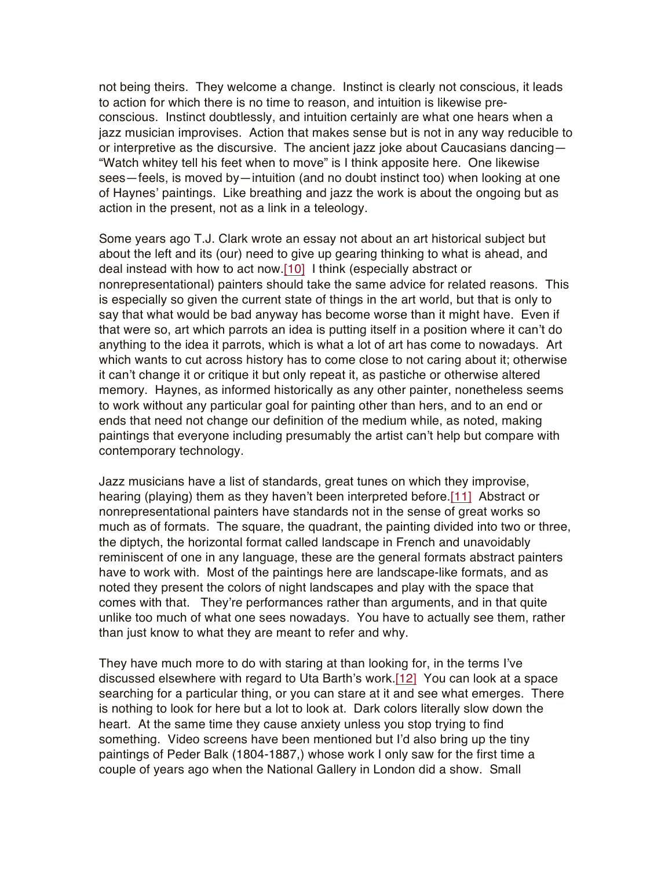not being theirs. They welcome a change. Instinct is clearly not conscious, it leads to action for which there is no time to reason, and intuition is likewise preconscious. Instinct doubtlessly, and intuition certainly are what one hears when a jazz musician improvises. Action that makes sense but is not in any way reducible to or interpretive as the discursive. The ancient jazz joke about Caucasians dancing— "Watch whitey tell his feet when to move" is I think apposite here. One likewise sees—feels, is moved by—intuition (and no doubt instinct too) when looking at one of Haynes' paintings. Like breathing and jazz the work is about the ongoing but as action in the present, not as a link in a teleology.

Some years ago T.J. Clark wrote an essay not about an art historical subject but about the left and its (our) need to give up gearing thinking to what is ahead, and deal instead with how to act now.[\[10\]](https://abcrit.org/2017/07/06/72-jeremy-gilbert-rolfe-writes-on-nancy-haynes-at-regina-rex-new-york/#_ftn10) I think (especially abstract or nonrepresentational) painters should take the same advice for related reasons. This is especially so given the current state of things in the art world, but that is only to say that what would be bad anyway has become worse than it might have. Even if that were so, art which parrots an idea is putting itself in a position where it can't do anything to the idea it parrots, which is what a lot of art has come to nowadays. Art which wants to cut across history has to come close to not caring about it; otherwise it can't change it or critique it but only repeat it, as pastiche or otherwise altered memory. Haynes, as informed historically as any other painter, nonetheless seems to work without any particular goal for painting other than hers, and to an end or ends that need not change our definition of the medium while, as noted, making paintings that everyone including presumably the artist can't help but compare with contemporary technology.

Jazz musicians have a list of standards, great tunes on which they improvise, hearing (playing) them as they haven't been interpreted before[.\[11\]](https://abcrit.org/2017/07/06/72-jeremy-gilbert-rolfe-writes-on-nancy-haynes-at-regina-rex-new-york/#_ftn11) Abstract or nonrepresentational painters have standards not in the sense of great works so much as of formats. The square, the quadrant, the painting divided into two or three, the diptych, the horizontal format called landscape in French and unavoidably reminiscent of one in any language, these are the general formats abstract painters have to work with. Most of the paintings here are landscape-like formats, and as noted they present the colors of night landscapes and play with the space that comes with that. They're performances rather than arguments, and in that quite unlike too much of what one sees nowadays. You have to actually see them, rather than just know to what they are meant to refer and why.

They have much more to do with staring at than looking for, in the terms I've discussed elsewhere with regard to Uta Barth's work[.\[12\]](https://abcrit.org/2017/07/06/72-jeremy-gilbert-rolfe-writes-on-nancy-haynes-at-regina-rex-new-york/#_ftn12) You can look at a space searching for a particular thing, or you can stare at it and see what emerges. There is nothing to look for here but a lot to look at. Dark colors literally slow down the heart. At the same time they cause anxiety unless you stop trying to find something. Video screens have been mentioned but I'd also bring up the tiny paintings of Peder Balk (1804-1887,) whose work I only saw for the first time a couple of years ago when the National Gallery in London did a show. Small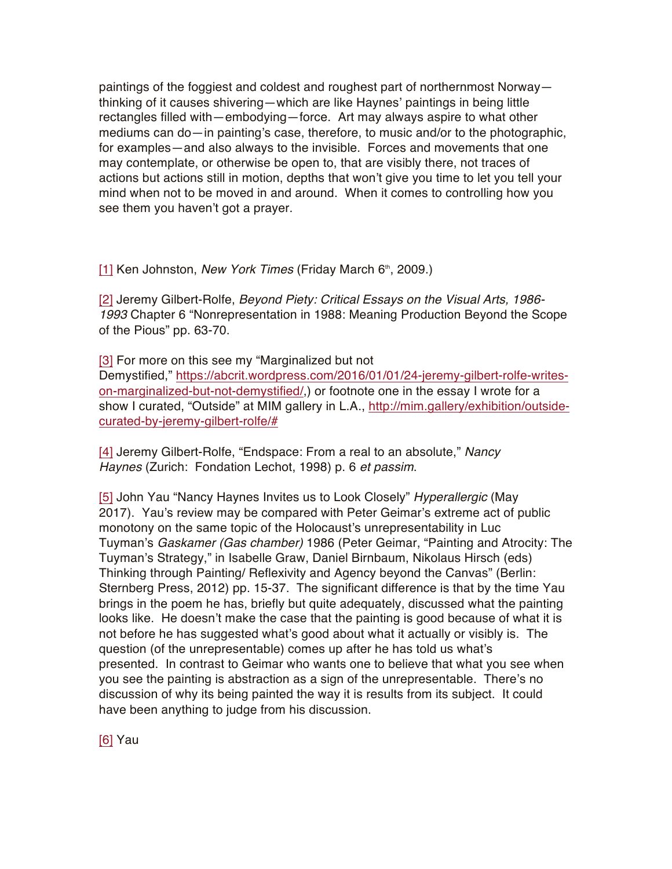paintings of the foggiest and coldest and roughest part of northernmost Norway thinking of it causes shivering—which are like Haynes' paintings in being little rectangles filled with—embodying—force. Art may always aspire to what other mediums can do—in painting's case, therefore, to music and/or to the photographic, for examples—and also always to the invisible. Forces and movements that one may contemplate, or otherwise be open to, that are visibly there, not traces of actions but actions still in motion, depths that won't give you time to let you tell your mind when not to be moved in and around. When it comes to controlling how you see them you haven't got a prayer.

[\[1\]](https://abcrit.org/2017/07/06/72-jeremy-gilbert-rolfe-writes-on-nancy-haynes-at-regina-rex-new-york/#_ftnref1) Ken Johnston, *New York Times* (Friday March 6<sup>th</sup>, 2009.)

[\[2\]](https://abcrit.org/2017/07/06/72-jeremy-gilbert-rolfe-writes-on-nancy-haynes-at-regina-rex-new-york/#_ftnref2) Jeremy Gilbert-Rolfe, *Beyond Piety: Critical Essays on the Visual Arts, 1986- 1993* Chapter 6 "Nonrepresentation in 1988: Meaning Production Beyond the Scope of the Pious" pp. 63-70.

[\[3\]](https://abcrit.org/2017/07/06/72-jeremy-gilbert-rolfe-writes-on-nancy-haynes-at-regina-rex-new-york/#_ftnref3) For more on this see my "Marginalized but not Demystified," [https://abcrit.wordpress.com/2016/01/01/24-jeremy-gilbert-rolfe-writes](https://abcrit.wordpress.com/2016/01/01/24-jeremy-gilbert-rolfe-writes-on-marginalized-but-not-demystified/)[on-marginalized-but-not-demystified/](https://abcrit.wordpress.com/2016/01/01/24-jeremy-gilbert-rolfe-writes-on-marginalized-but-not-demystified/),) or footnote one in the essay I wrote for a show I curated, "Outside" at MIM gallery in L.A., [http://mim.gallery/exhibition/outside](http://mim.gallery/exhibition/outside-curated-by-jeremy-gilbert-rolfe/)[curated-by-jeremy-gilbert-rolfe/#](http://mim.gallery/exhibition/outside-curated-by-jeremy-gilbert-rolfe/)

[\[4\]](https://abcrit.org/2017/07/06/72-jeremy-gilbert-rolfe-writes-on-nancy-haynes-at-regina-rex-new-york/#_ftnref4) Jeremy Gilbert-Rolfe, "Endspace: From a real to an absolute," *Nancy Haynes* (Zurich: Fondation Lechot, 1998) p. 6 *et passim*.

[\[5\]](https://abcrit.org/2017/07/06/72-jeremy-gilbert-rolfe-writes-on-nancy-haynes-at-regina-rex-new-york/#_ftnref5) John Yau "Nancy Haynes Invites us to Look Closely" *Hyperallergic* (May 2017). Yau's review may be compared with Peter Geimar's extreme act of public monotony on the same topic of the Holocaust's unrepresentability in Luc Tuyman's *Gaskamer (Gas chamber)* 1986 (Peter Geimar, "Painting and Atrocity: The Tuyman's Strategy," in Isabelle Graw, Daniel Birnbaum, Nikolaus Hirsch (eds) Thinking through Painting/ Reflexivity and Agency beyond the Canvas" (Berlin: Sternberg Press, 2012) pp. 15-37. The significant difference is that by the time Yau brings in the poem he has, briefly but quite adequately, discussed what the painting looks like. He doesn't make the case that the painting is good because of what it is not before he has suggested what's good about what it actually or visibly is. The question (of the unrepresentable) comes up after he has told us what's presented. In contrast to Geimar who wants one to believe that what you see when you see the painting is abstraction as a sign of the unrepresentable. There's no discussion of why its being painted the way it is results from its subject. It could have been anything to judge from his discussion.

[\[6\]](https://abcrit.org/2017/07/06/72-jeremy-gilbert-rolfe-writes-on-nancy-haynes-at-regina-rex-new-york/#_ftnref6) Yau